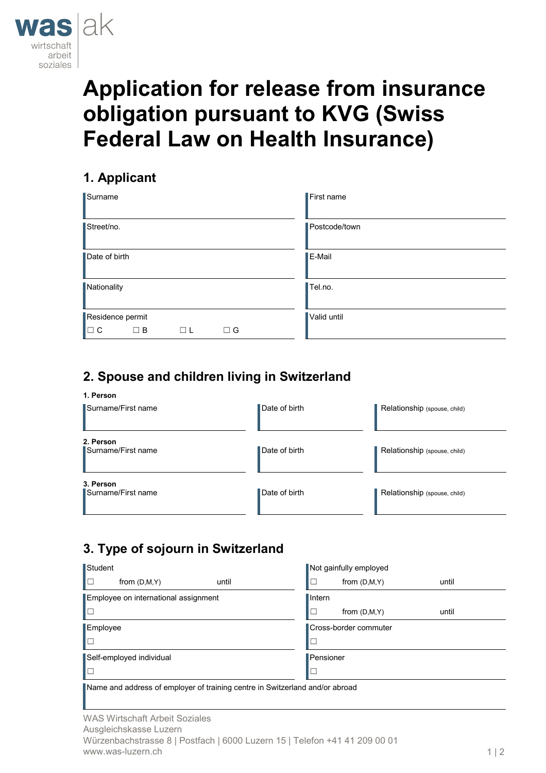

# **Application for release from insurance obligation pursuant to KVG (Swiss Federal Law on Health Insurance)**

# **1. Applicant**

| Surname          |          |        |          | First name    |  |  |
|------------------|----------|--------|----------|---------------|--|--|
| Street/no.       |          |        |          | Postcode/town |  |  |
| Date of birth    |          |        |          | E-Mail        |  |  |
| Nationality      |          |        |          | Tel.no.       |  |  |
| Residence permit |          |        |          | Valid until   |  |  |
| l⊟ c             | $\Box$ B | Τ<br>L | $\Box$ G |               |  |  |

# **2. Spouse and children living in Switzerland**

#### **1. Person**

| Surname/First name              | Date of birth | Relationship (spouse, child) |
|---------------------------------|---------------|------------------------------|
| 2. Person<br>Surname/First name | Date of birth | Relationship (spouse, child) |
| 3. Person<br>Surname/First name | Date of birth | Relationship (spouse, child) |

## **3. Type of sojourn in Switzerland**

| Student                                         | Not gainfully employed |                |       |  |  |
|-------------------------------------------------|------------------------|----------------|-------|--|--|
| lo<br>from $(D,M,Y)$<br>until                   | - 1                    | from $(D,M,Y)$ | until |  |  |
| Employee on international assignment            | $\blacksquare$ Intern  |                |       |  |  |
| ∥□                                              | ┐                      | from $(D,M,Y)$ | until |  |  |
| Employee                                        | Cross-border commuter  |                |       |  |  |
| ∥□                                              | ⊔                      |                |       |  |  |
| Self-employed individual                        | Pensioner              |                |       |  |  |
| ┃□                                              | □                      |                |       |  |  |
| ⊞<br>$\sim$ $\sim$ $\sim$ $\sim$<br>.<br>.<br>. |                        |                |       |  |  |

Name and address of employer of training centre in Switzerland and/or abroad